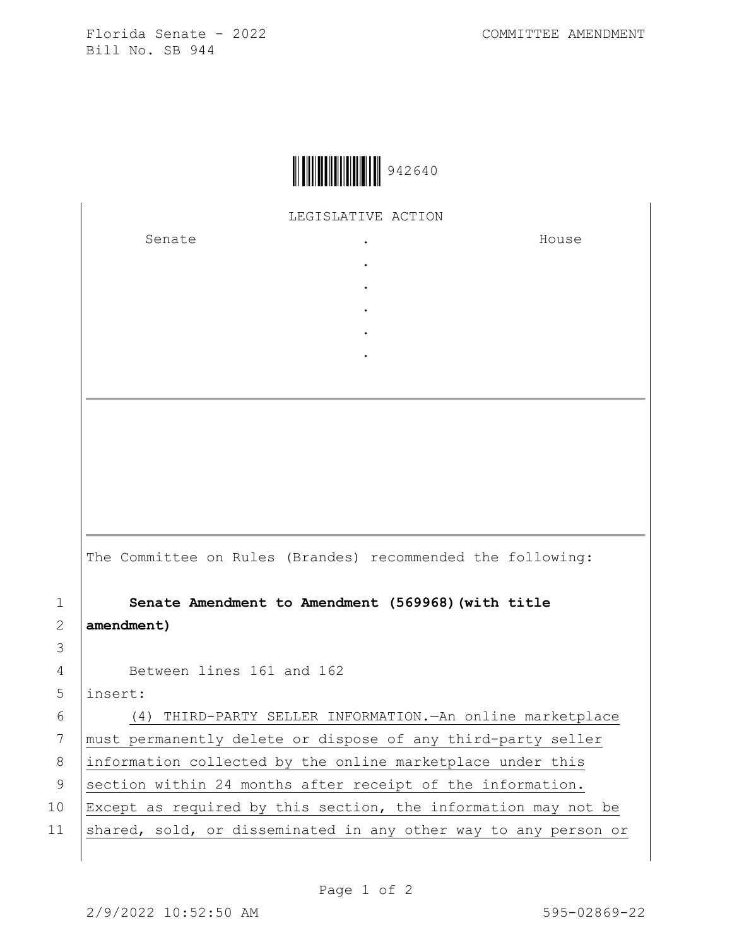Florida Senate - 2022 COMMITTEE AMENDMENT Bill No. SB 944



LEGISLATIVE ACTION

. . . . .

Senate the senate of the senate  $\cdot$ 

House

The Committee on Rules (Brandes) recommended the following:

1 **Senate Amendment to Amendment (569968)(with title**  2 **amendment)**

3

4 Between lines 161 and 162

5 insert:

6 (4) THIRD-PARTY SELLER INFORMATION.—An online marketplace 7 | must permanently delete or dispose of any third-party seller 8 information collected by the online marketplace under this 9 section within 24 months after receipt of the information. 10 Except as required by this section, the information may not be 11 shared, sold, or disseminated in any other way to any person or